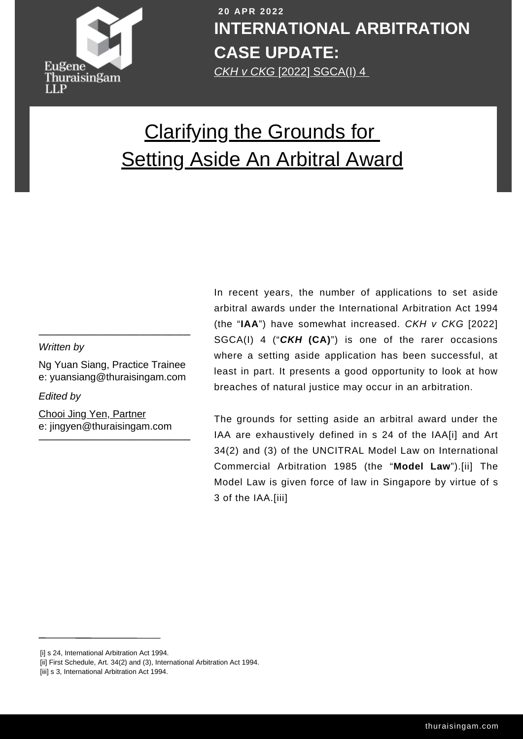

**[COVI](http://thuraisingam.com/)D-19 COVID-19 COVID-19 COVID-19 COVID-19 COVID-19 COVID-19 COVID-19 COVID-19 COVID-19 COVID-19 COVID-19 COVID-19 COVID-19 COVID-19 COVID-19 COVID-19 COVID-19 COVID-19 COVID-19 C 2 0 APR 2 0 2 2 INTERNATIONAL ARBITRATION CASE UPDATE:**

# [Clarifying](https://thuraisingam.com/resources/clarifying-the-grounds-for-setting-aside-an-arbitral-award) the Grounds for **[Setting](https://thuraisingam.com/resources/clarifying-the-grounds-for-setting-aside-an-arbitral-award) Aside An [Arbitral](https://thuraisingam.com/resources/clarifying-the-grounds-for-setting-aside-an-arbitral-award) Award**

## *Written by*

Ng Yuan Siang, Practice Trainee e: yuansiang@thuraisingam.com

 $\frac{1}{2}$  ,  $\frac{1}{2}$  ,  $\frac{1}{2}$  ,  $\frac{1}{2}$  ,  $\frac{1}{2}$  ,  $\frac{1}{2}$  ,  $\frac{1}{2}$  ,  $\frac{1}{2}$  ,  $\frac{1}{2}$ 

*Edited by*

\_\_\_\_\_\_\_\_\_\_\_\_\_\_\_\_\_\_\_\_\_ e: jingyen@thuraisingam.com Chooi Jing Yen, [Partner](https://thuraisingam.com/our-team/chooi-jing-yen)

In recent years, the number of applications to set aside arbitral awards under the International Arbitration Act 1994 (the "**IAA**") have somewhat increased. *CKH v CKG* [2022] SGCA(I) 4 ("*CKH* **(CA)**") is one of the rarer occasions where a setting aside application has been successful, at least in part. It presents a good opportunity to look at how breaches of natural justice may occur in an arbitration.

The grounds for setting aside an arbitral award under the IAA are exhaustively defined in s 24 of the IAA[i] and Art 34(2) and (3) of the UNCITRAL Model Law on International Commercial Arbitration 1985 (the "**Model Law**").[ii] The Model Law is given force of law in Singapore by virtue of s 3 of the IAA.[iii]

[i] s 24, International Arbitration Act 1994.

<sup>[</sup>ii] First Schedule, Art. 34(2) and (3), International Arbitration Act 1994.

<sup>[</sup>iii] s 3, International Arbitration Act 1994.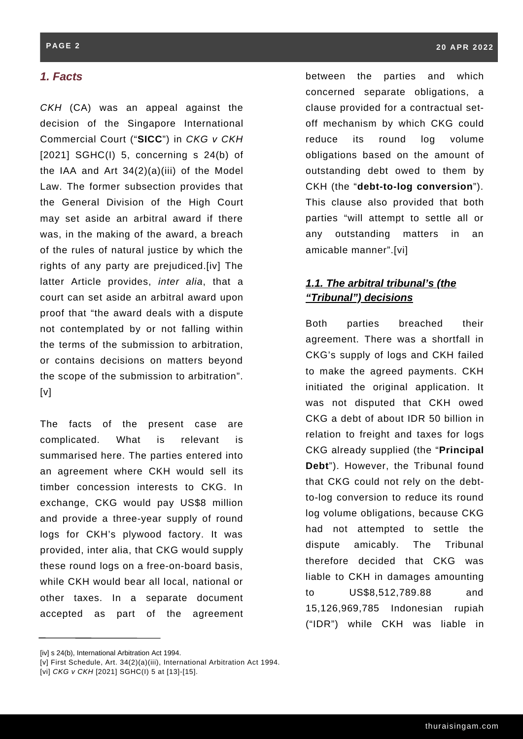## *1. Facts*

*CKH* (CA) was an appeal against the decision of the Singapore International Commercial Court ("**SICC**") in *CKG v CKH* [2021] SGHC(I) 5, concerning s 24(b) of the IAA and Art  $34(2)(a)(iii)$  of the Model Law. The former subsection provides that the General Division of the High Court may set aside an arbitral award if there was, in the making of the award, a breach of the rules of natural justice by which the rights of any party are prejudiced.[iv] The latter Article provides, *inter alia*, that a court can set aside an arbitral award upon proof that "the award deals with a dispute not contemplated by or not falling within the terms of the submission to arbitration, or contains decisions on matters beyond the scope of the submission to arbitration".  $[v]$ 

The facts of the present case are complicated. What is relevant is summarised here. The parties entered into an agreement where CKH would sell its timber concession interests to CKG. In exchange, CKG would pay US\$8 million and provide a three-year supply of round logs for CKH's plywood factory. It was provided, inter alia, that CKG would supply these round logs on a free-on-board basis, while CKH would bear all local, national or other taxes. In a separate document accepted as part of the agreement

between the parties and which concerned separate obligations, a clause provided for a contractual setoff mechanism by which CKG could reduce its round log volume obligations based on the amount of outstanding debt owed to them by CKH (the "**debt-to-log conversion**"). This clause also provided that both parties "will attempt to settle all or any outstanding matters in an amicable manner".[vi]

## *1.1. The arbitral tribunal's (the "Tribunal") decisions*

Both parties breached their agreement. There was a shortfall in CKG's supply of logs and CKH failed to make the agreed payments. CKH initiated the original application. It was not disputed that CKH owed CKG a debt of about IDR 50 billion in relation to freight and taxes for logs CKG already supplied (the "**Principal Debt**"). However, the Tribunal found that CKG could not rely on the debtto-log conversion to reduce its round log volume obligations, because CKG had not attempted to settle the dispute amicably. The Tribunal therefore decided that CKG was liable to CKH in damages amounting to US\$8,512,789.88 and 15,126,969,785 Indonesian rupiah ("IDR") while CKH was liable in

<sup>[</sup>iv] s 24(b), International Arbitration Act 1994.

<sup>[</sup>v] First Schedule, Art. 34(2)(a)(iii), International Arbitration Act 1994.

<sup>[</sup>vi] *CKG v CKH* [2021] SGHC(I) 5 at [13]-[15].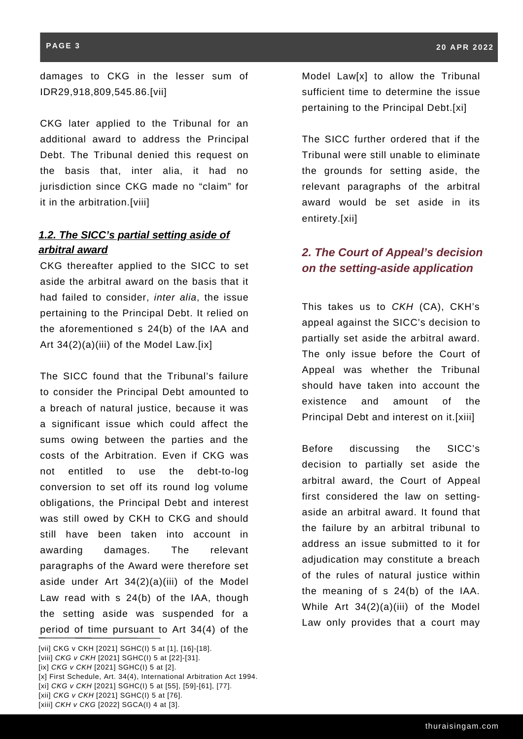#### **PAGE 3**

damages to CKG in the lesser sum of IDR29,918,809,545.86.[vii]

CKG later applied to the Tribunal for an additional award to address the Principal Debt. The Tribunal denied this request on the basis that, inter alia, it had no jurisdiction since CKG made no "claim" for it in the arbitration.[viii]

# *1.2. The SICC's partial setting aside of arbitral award 2. The Court of Appeal's decision*

CKG thereafter applied to the SICC to set aside the arbitral award on the basis that it had failed to consider, *inter alia*, the issue pertaining to the Principal Debt. It relied on the aforementioned s 24(b) of the IAA and Art 34(2)(a)(iii) of the Model Law.[ix]

The SICC found that the Tribunal's failure to consider the Principal Debt amounted to a breach of natural justice, because it was a significant issue which could affect the sums owing between the parties and the costs of the Arbitration. Even if CKG was not entitled to use the debt-to-log conversion to set off its round log volume obligations, the Principal Debt and interest was still owed by CKH to CKG and should still have been taken into account in awarding damages. The relevant paragraphs of the Award were therefore set aside under Art 34(2)(a)(iii) of the Model Law read with s 24(b) of the IAA, though the setting aside was suspended for a period of time pursuant to Art 34(4) of the

Model Law[x] to allow the Tribunal sufficient time to determine the issue pertaining to the Principal Debt.[xi]

The SICC further ordered that if the Tribunal were still unable to eliminate the grounds for setting aside, the relevant paragraphs of the arbitral award would be set aside in its entirety.[xii]

# *on the setting-aside application*

This takes us to *CKH* (CA), CKH's appeal against the SICC's decision to partially set aside the arbitral award. The only issue before the Court of Appeal was whether the Tribunal should have taken into account the existence and amount of the Principal Debt and interest on it.[xiii]

Before discussing the SICC's decision to partially set aside the arbitral award, the Court of Appeal first considered the law on settingaside an arbitral award. It found that the failure by an arbitral tribunal to address an issue submitted to it for adjudication may constitute a breach of the rules of natural justice within the meaning of s 24(b) of the IAA. While Art 34(2)(a)(iii) of the Model Law only provides that a court may

\_\_\_ [vii] CKG v CKH [2021] SGHC(I) 5 at [1], [16]-[18]. [viii] *CKG v CKH* [2021] SGHC(I) 5 at [22]-[31]. [ix] *CKG v CKH* [2021] SGHC(I) 5 at [2]. [x] First Schedule, Art. 34(4), International Arbitration Act 1994. [xi] *CKG v CKH* [2021] SGHC(I) 5 at [55], [59]-[61], [77]. [xii] *CKG v CKH* [2021] SGHC(I) 5 at [76].

<sup>[</sup>xiii] *CKH v CKG* [2022] SGCA(I) 4 at [3].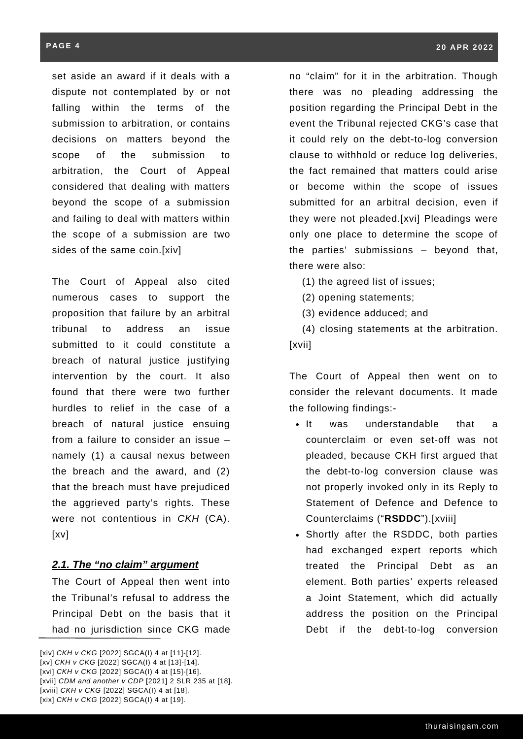set aside an award if it deals with a dispute not contemplated by or not falling within the terms of the submission to arbitration, or contains decisions on matters beyond the scope of the submission to arbitration, the Court of Appeal considered that dealing with matters beyond the scope of a submission and failing to deal with matters within the scope of a submission are two sides of the same coin.[xiv]

The Court of Appeal also cited numerous cases to support the proposition that failure by an arbitral tribunal to address an issue submitted to it could constitute a breach of natural justice justifying intervention by the court. It also found that there were two further hurdles to relief in the case of a breach of natural justice ensuing from a failure to consider an issue – namely (1) a causal nexus between the breach and the award, and (2) that the breach must have prejudiced the aggrieved party's rights. These were not contentious in *CKH* (CA). [xv]

## *2.1. The "no claim" argument*

The Court of Appeal then went into the Tribunal's refusal to address the Principal Debt on the basis that it had no jurisdiction since CKG made

\_\_ [xiv] *CKH v CKG* [2022] SGCA(I) 4 at [11]-[12]. [xv] *CKH v CKG* [2022] SGCA(I) 4 at [13]-[14]. [xvi] *CKH v CKG* [2022] SGCA(I) 4 at [15]-[16]. [xvii] *CDM and another v CDP* [2021] 2 SLR 235 at [18]. [xviii] *CKH v CKG* [2022] SGCA(I) 4 at [18]. [xix] *CKH v CKG* [2022] SGCA(I) 4 at [19].

no "claim" for it in the arbitration. Though there was no pleading addressing the position regarding the Principal Debt in the event the Tribunal rejected CKG's case that it could rely on the debt-to-log conversion clause to withhold or reduce log deliveries, the fact remained that matters could arise or become within the scope of issues submitted for an arbitral decision, even if they were not pleaded.[xvi] Pleadings were only one place to determine the scope of the parties' submissions – beyond that, there were also:

(1) the agreed list of issues;

(2) opening statements;

(3) evidence adduced; and

(4) closing statements at the arbitration. [xvii]

The Court of Appeal then went on to consider the relevant documents. It made the following findings:-

- It was understandable that a counterclaim or even set-off was not pleaded, because CKH first argued that the debt-to-log conversion clause was not properly invoked only in its Reply to Statement of Defence and Defence to Counterclaims ("**RSDDC**").[xviii]
- Shortly after the RSDDC, both parties had exchanged expert reports which treated the Principal Debt as an element. Both parties' experts released a Joint Statement, which did actually address the position on the Principal Debt if the debt-to-log conversion